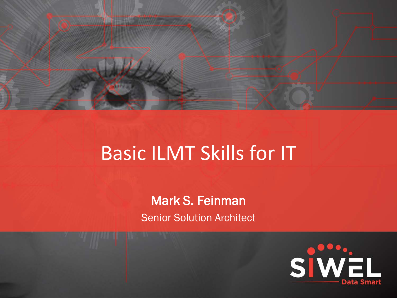

# Basic ILMT Skills for IT

Mark S. Feinman Senior Solution Architect

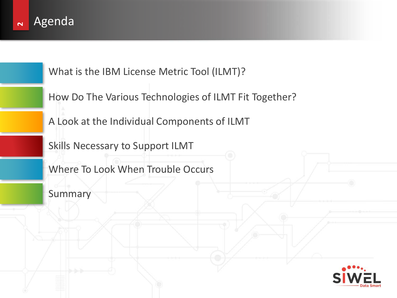

What is the IBM License Metric Tool (ILMT)?

How Do The Various Technologies of ILMT Fit Together?

A Look at the Individual Components of ILMT

Skills Necessary to Support ILMT

Where To Look When Trouble Occurs

Summary

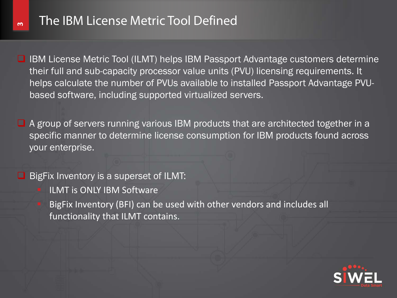$\sim$ 

 $\Box$  IBM License Metric Tool (ILMT) helps IBM Passport Advantage customers determine their full and sub-capacity processor value units (PVU) licensing requirements. It helps calculate the number of PVUs available to installed Passport Advantage PVUbased software, including supported virtualized servers.

 $\Box$  A group of servers running various IBM products that are architected together in a specific manner to determine license consumption for IBM products found across your enterprise.

 $\Box$  BigFix Inventory is a superset of ILMT:

ILMT is ONLY IBM Software

 BigFix Inventory (BFI) can be used with other vendors and includes all functionality that ILMT contains.

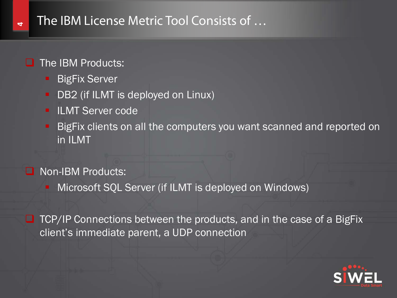# The IBM License Metric Tool Consists of …

#### $\Box$  The IBM Products:

**4**

- BigFix Server
- **-** DB2 (if ILMT is deployed on Linux)
- **ILMT Server code**
- **BigFix clients on all the computers you want scanned and reported on** in ILMT
- Non-IBM Products:
	- Microsoft SQL Server (if ILMT is deployed on Windows)

 $\Box$  TCP/IP Connections between the products, and in the case of a BigFix client's immediate parent, a UDP connection

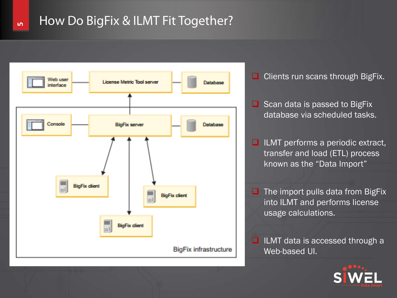#### **5** How Do BigFix & ILMT Fit Together?



- $\Box$  Clients run scans through BigFix.
- $\Box$  Scan data is passed to BigFix database via scheduled tasks.
- $\Box$  ILMT performs a periodic extract, transfer and load (ETL) process known as the "Data Import"
- $\Box$  The import pulls data from BigFix into ILMT and performs license usage calculations.
- $\Box$  ILMT data is accessed through a Web-based UI.

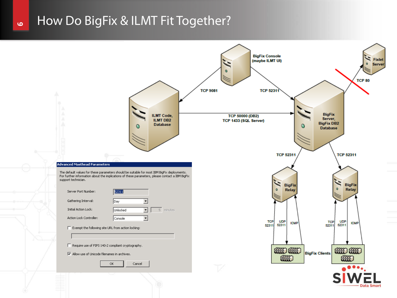#### How Do BigFix & ILMT Fit Together?

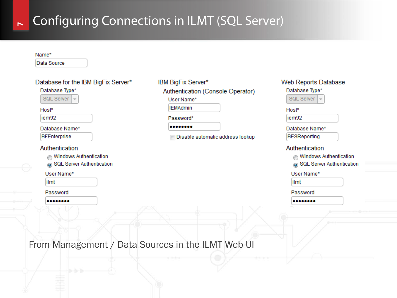#### $\mathbb{R}$ Configuring Connections in ILMT (SQL Server)

Data Source

| Database for the IBM BigFix Server*                                        | IBM BigFix Server*                                                              | <b>Web Reports Database</b>                                           |
|----------------------------------------------------------------------------|---------------------------------------------------------------------------------|-----------------------------------------------------------------------|
| Database Type*<br>SQL Server $\vert \downarrow$<br>Host*<br>iem92          | Authentication (Console Operator)<br>User Name*<br><b>IEMAdmin</b><br>Password* | Database Type*<br>SQL Server ~<br>Host*<br>iem92                      |
| Database Name*<br><b>BFEnterprise</b>                                      | <br>Disable automatic address lookup                                            | Database Name*<br><b>BESReporting</b>                                 |
| Authentication<br>Windows Authentication<br>⋒<br>SQL Server Authentication |                                                                                 | Authentication<br>Windows Authentication<br>SQL Server Authentication |
| User Name*<br>ilmt                                                         |                                                                                 | User Name*<br>ilmt                                                    |
| Password<br>                                                               |                                                                                 | Password<br>                                                          |
|                                                                            |                                                                                 |                                                                       |

From Management / Data Sources in the ILMT Web UI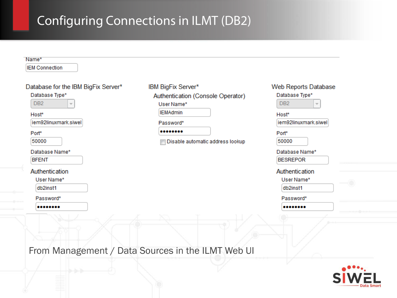# Configuring Connections in ILMT (DB2)

| Name*                               |                                   |                      |
|-------------------------------------|-----------------------------------|----------------------|
| <b>IEM Connection</b>               |                                   |                      |
| Database for the IBM BigFix Server* | IBM BigFix Server*                | Web Reports Database |
| Database Type*                      | Authentication (Console Operator) | Database Type*       |
| DB <sub>2</sub>                     | User Name*                        | DB <sub>2</sub>      |
| Host*                               | <b>IEMAdmin</b>                   | Host*                |
| iem92linuxmark.siwel                | Password*                         | iem92linuxmark.siwel |
| Port*                               |                                   | Port*                |
| 50000                               | Disable automatic address lookup  | 50000                |
| Database Name*                      |                                   | Database Name*       |
| <b>BFENT</b>                        |                                   | <b>BESREPOR</b>      |
| Authentication                      |                                   | Authentication       |
| User Name*                          |                                   | User Name*           |
| db2inst1                            |                                   | db2inst1             |
| Password*                           |                                   | Password*            |
|                                     |                                   |                      |

From Management / Data Sources in the ILMT Web UI

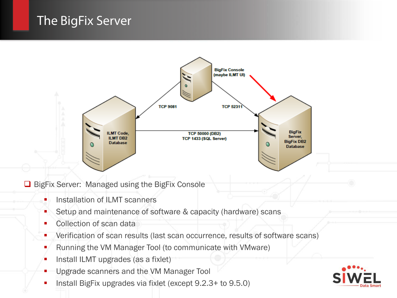# The BigFix Server



**□** BigFix Server: Managed using the BigFix Console

- **Installation of ILMT scanners**
- Setup and maintenance of software & capacity (hardware) scans
- Collection of scan data
- **•** Verification of scan results (last scan occurrence, results of software scans)
- Running the VM Manager Tool (to communicate with VMware)
- **Install ILMT upgrades (as a fixlet)**
- Upgrade scanners and the VM Manager Tool
- Install BigFix upgrades via fixlet (except 9.2.3+ to 9.5.0)

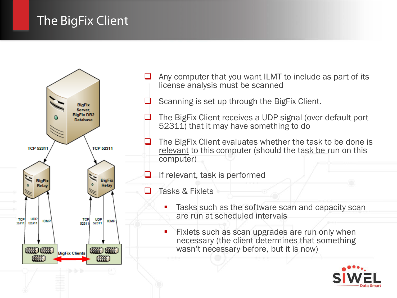# The BigFix Client



- Any computer that you want ILMT to include as part of its license analysis must be scanned
- $\Box$  Scanning is set up through the BigFix Client.
- $\Box$  The BigFix Client receives a UDP signal (over default port 52311) that it may have something to do
	- The BigFix Client evaluates whether the task to be done is relevant to this computer (should the task be run on this computer)
	- If relevant, task is performed
- $\Box$  Tasks & Fixlets
	- **Tasks such as the software scan and capacity scan** are run at scheduled intervals
	- Fixlets such as scan upgrades are run only when necessary (the client determines that something wasn't necessary before, but it is now)

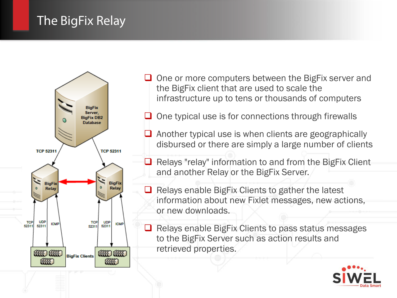# The BigFix Relay



 $\Box$  One or more computers between the BigFix server and the BigFix client that are used to scale the infrastructure up to tens or thousands of computers

 $\Box$  One typical use is for connections through firewalls

 $\Box$  Another typical use is when clients are geographically disbursed or there are simply a large number of clients

 $\Box$  Relays "relay" information to and from the BigFix Client and another Relay or the BigFix Server.

 $\Box$  Relays enable BigFix Clients to gather the latest information about new Fixlet messages, new actions, or new downloads.

 $\Box$  Relays enable BigFix Clients to pass status messages to the BigFix Server such as action results and retrieved properties.

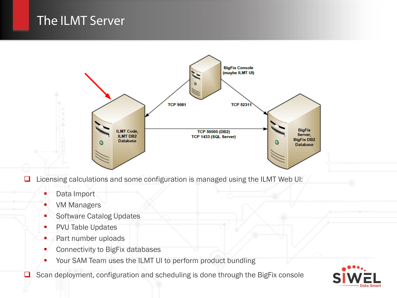## The ILMT Server



 $\Box$  Licensing calculations and some configuration is managed using the ILMT Web UI:

- Data Import
- **VM Managers**
- **Software Catalog Updates**
- **PVU Table Updates**
- **Part number uploads**
- **Connectivity to BigFix databases**
- **Your SAM Team uses the ILMT UI to perform product bundling**

Scan deployment, configuration and scheduling is done through the BigFix console

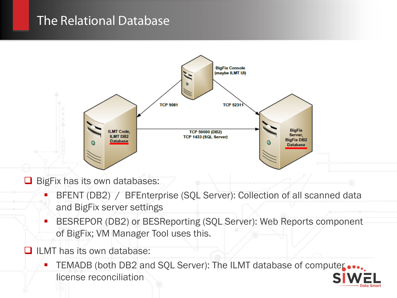#### The Relational Database



BigFix has its own databases:

- BFENT (DB2) / BFEnterprise (SQL Server): Collection of all scanned data and BigFix server settings
- BESREPOR (DB2) or BESReporting (SQL Server): Web Reports component of BigFix; VM Manager Tool uses this.
- $\Box$  ILMT has its own database:
	- TEMADB (both DB2 and SQL Server): The ILMT database of computer ... license reconciliation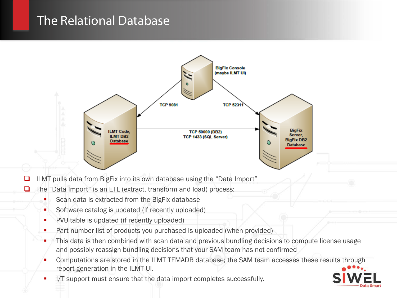#### The Relational Database



 $\Box$  ILMT pulls data from BigFix into its own database using the "Data Import"

 $\Box$  The "Data Import" is an ETL (extract, transform and load) process:

- Scan data is extracted from the BigFix database
- Software catalog is updated (if recently uploaded)
- **PVU** table is updated (if recently uploaded)
- Part number list of products you purchased is uploaded (when provided)
- This data is then combined with scan data and previous bundling decisions to compute license usage and possibly reassign bundling decisions that your SAM team has not confirmed
- Computations are stored in the ILMT TEMADB database; the SAM team accesses these results through report generation in the ILMT UI.
- I/T support must ensure that the data import completes successfully.

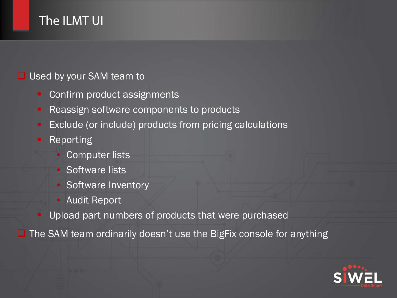# The ILMT UI

#### **□** Used by your SAM team to

- Confirm product assignments
- Reassign software components to products
- Exclude (or include) products from pricing calculations
- **Reporting** 
	- **Computer lists**
	- Software lists
	- Software Inventory
	- Audit Report
	- Upload part numbers of products that were purchased

 $\Box$  The SAM team ordinarily doesn't use the BigFix console for anything

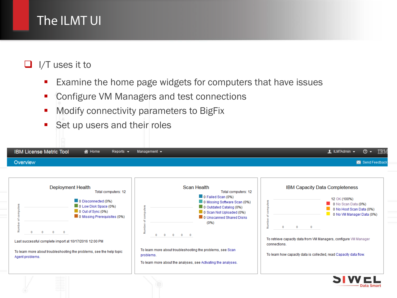# The ILMT UI

#### $\Box$  I/T uses it to

- **Examine the home page widgets for computers that have issues**
- **Configure VM Managers and test connections**
- **Modify connectivity parameters to BigFix**
- Set up users and their roles

| Overview                                                                                                                    |                                                                                                                                                                                                                                                 |                                                                                                                                                                                                                                                                                                                                                                                                                   | Send Feedback                                                                                                                                                                                                                                                                                                                                                  |
|-----------------------------------------------------------------------------------------------------------------------------|-------------------------------------------------------------------------------------------------------------------------------------------------------------------------------------------------------------------------------------------------|-------------------------------------------------------------------------------------------------------------------------------------------------------------------------------------------------------------------------------------------------------------------------------------------------------------------------------------------------------------------------------------------------------------------|----------------------------------------------------------------------------------------------------------------------------------------------------------------------------------------------------------------------------------------------------------------------------------------------------------------------------------------------------------------|
| <b>Rum</b><br>$\Omega$<br>$\Omega$<br>$\Omega$<br>Last successful complete import at 10/17/2016 12:00 PM<br>Agent problems. | <b>Deployment Health</b><br>Total computers: 12<br>0 Disconnected (0%)<br>0 Low Disk Space (0%)<br>$\Box$ 0 Out of Sync (0%)<br>0 Missing Prerequisites (0%)<br>$\circ$<br>To learn more about troubleshooting the problems, see the help topic | <b>Scan Health</b><br>Total computers: 12<br>0 Failed Scan (0%)<br>0 Missing Software Scan (0%)<br>0 Outdated Catalog (0%)<br>mputers<br>0 Scan Not Uploaded (0%)<br>0 Unscanned Shared Disks<br>ъ<br>(0% )<br>Number<br>$\Omega$<br>$\Omega$<br>$\Omega$<br>$\circ$<br>To learn more about troubleshooting the problems, see Scan<br>problems.<br>To learn more about the analyses, see Activating the analyses. | <b>IBM Capacity Data Completeness</b><br>12 OK (100%)<br>computers<br>0 No Scan Data (0%)<br>0 No Host Scan Data (0%)<br>0 No VM Manager Data (0%)<br>ъ<br>Number<br>$\Omega$<br>$\Omega$<br>$\Omega$<br>To retrieve capacity data from VM Managers, configure VM Manager<br>connections.<br>To learn how capacity data is collected, read Capacity data flow. |

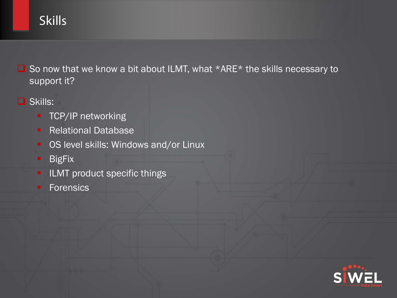# **Skills**

 $\Box$  So now that we know a bit about ILMT, what \*ARE\* the skills necessary to support it?

- **O** Skills:
	- **TCP/IP networking**
	- **Relational Database**
	- **-** OS level skills: Windows and/or Linux
	- **BigFix**
	- **ILMT** product specific things
	- **Forensics**

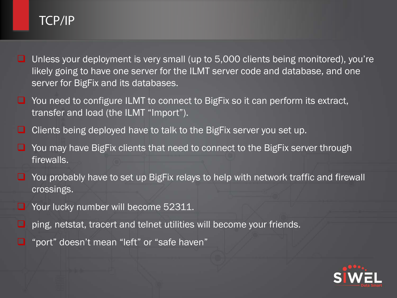# TCP/IP

- Unless your deployment is very small (up to 5,000 clients being monitored), you're likely going to have one server for the ILMT server code and database, and one server for BigFix and its databases.
- $\Box$  You need to configure ILMT to connect to BigFix so it can perform its extract, transfer and load (the ILMT "Import").
- □ Clients being deployed have to talk to the BigFix server you set up.
- You may have BigFix clients that need to connect to the BigFix server through firewalls.
- $\Box$  You probably have to set up BigFix relays to help with network traffic and firewall crossings.
- Your lucky number will become 52311.
- $\Box$  ping, netstat, tracert and telnet utilities will become your friends.
- $\Box$  "port" doesn't mean "left" or "safe haven"

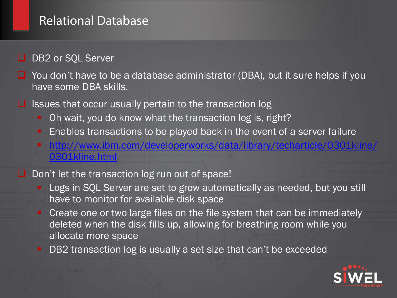#### Relational Database

- DB2 or SQL Server
- $\Box$  You don't have to be a database administrator (DBA), but it sure helps if you have some DBA skills.
- $\Box$  Issues that occur usually pertain to the transaction log
	- Oh wait, you do know what the transaction log is, right?
	- **Enables transactions to be played back in the event of a server failure**
	- [http://www.ibm.com/developerworks/data/library/techarticle/0301kline/](http://www.ibm.com/developerworks/data/library/techarticle/0301kline/0301kline.html) [0301kline.html](http://www.ibm.com/developerworks/data/library/techarticle/0301kline/0301kline.html)
- $\Box$  Don't let the transaction log run out of space!
	- Logs in SQL Server are set to grow automatically as needed, but you still have to monitor for available disk space
	- **Create one or two large files on the file system that can be immediately** deleted when the disk fills up, allowing for breathing room while you allocate more space
	- DB2 transaction log is usually a set size that can't be exceeded

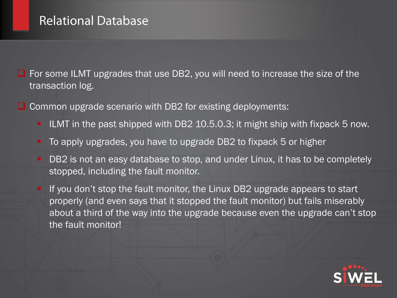## Relational Database

 $\Box$  For some ILMT upgrades that use DB2, you will need to increase the size of the transaction log.

- $\Box$  Common upgrade scenario with DB2 for existing deployments:
	- ILMT in the past shipped with DB2 10.5.0.3; it might ship with fixpack 5 now.
	- To apply upgrades, you have to upgrade DB2 to fixpack 5 or higher
	- **DB2** is not an easy database to stop, and under Linux, it has to be completely stopped, including the fault monitor.
	- If you don't stop the fault monitor, the Linux DB2 upgrade appears to start properly (and even says that it stopped the fault monitor) but fails miserably about a third of the way into the upgrade because even the upgrade can't stop the fault monitor!

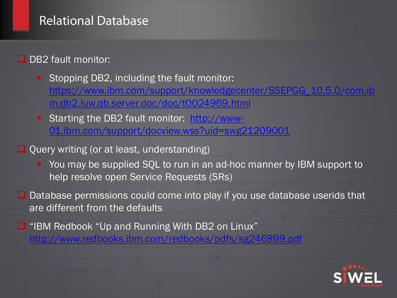### Relational Database

**D** DB2 fault monitor:

Stopping DB2, including the fault monitor: [https://www.ibm.com/support/knowledgecenter/SSEPGG\\_10.5.0/com.ib](https://www.ibm.com/support/knowledgecenter/SSEPGG_10.5.0/com.ibm.db2.luw.qb.server.doc/doc/t0024969.html) [m.db2.luw.qb.server.doc/doc/t0024969.html](https://www.ibm.com/support/knowledgecenter/SSEPGG_10.5.0/com.ibm.db2.luw.qb.server.doc/doc/t0024969.html)

Starting the DB2 fault monitor: [http://www-](http://www-01.ibm.com/support/docview.wss?uid=swg21209001)[01.ibm.com/support/docview.wss?uid=swg21209001](http://www-01.ibm.com/support/docview.wss?uid=swg21209001)

 $\Box$  Query writing (or at least, understanding)

**• You may be supplied SQL to run in an ad-hoc manner by IBM support to** help resolve open Service Requests (SRs)

 $\Box$  Database permissions could come into play if you use database userids that are different from the defaults

■ "IBM Redbook "Up and Running With DB2 on Linux" <http://www.redbooks.ibm.com/redbooks/pdfs/sg246899.pdf>

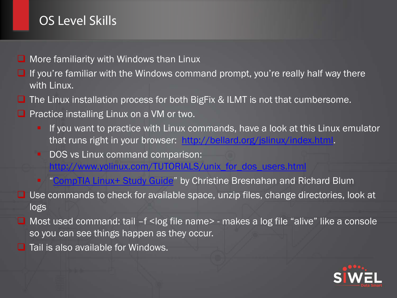# OS Level Skills

- $\Box$  More familiarity with Windows than Linux
- $\Box$  If you're familiar with the Windows command prompt, you're really half way there with Linux.
- $\Box$  The Linux installation process for both BigFix & ILMT is not that cumbersome.
- $\Box$  Practice installing Linux on a VM or two.
	- If you want to practice with Linux commands, have a look at this Linux emulator that runs right in your browser: <http://bellard.org/jslinux/index.html>.
	- DOS vs Linux command comparison:
		- [http://www.yolinux.com/TUTORIALS/unix\\_for\\_dos\\_users.html](http://www.yolinux.com/TUTORIALS/unix_for_dos_users.html)
	- **"** "[CompTIA Linux+ Study Guide"](http://www.barnesandnoble.com/p/comptia-linux-powered-by-linux-professional-institute-study-guide-christine-bresnahan/1124328797/2671832261969) by Christine Bresnahan and Richard Blum
- $\Box$  Use commands to check for available space, unzip files, change directories, look at logs
- $\Box$  Most used command: tail  $-f$  < log file name > makes a log file "alive" like a console so you can see things happen as they occur.
- $\Box$  Tail is also available for Windows.

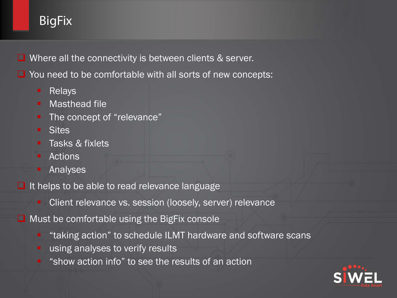# **BigFix**

**Q** Where all the connectivity is between clients & server.

 $\Box$  You need to be comfortable with all sorts of new concepts:

- **Relays**
- **Masthead file**
- The concept of "relevance"
- **E** Sites
- **Tasks & fixlets**
- Actions
- **Analyses**

 $\Box$  It helps to be able to read relevance language

Client relevance vs. session (loosely, server) relevance

 $\Box$  Must be comfortable using the BigFix console

- "taking action" to schedule ILMT hardware and software scans
- **using analyses to verify results**
- **•** "show action info" to see the results of an action

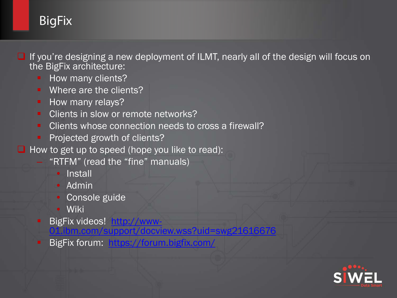# BigFix

**■** If you're designing a new deployment of ILMT, nearly all of the design will focus on the BigFix architecture:

- How many clients?
- Where are the clients?
- **How many relays?**
- Clients in slow or remote networks?
- Clients whose connection needs to cross a firewall?
- **Projected growth of clients?**
- $\Box$  How to get up to speed (hope you like to read):
	- "RTFM" (read the "fine" manuals)
		- Install
		- Admin
		- Console guide
		- Wiki
	- - BigFix videos! [http://www-](http://www-01.ibm.com/support/docview.wss?uid=swg21616676)<br>[01.ibm.com/support/docview.wss?uid=swg21616676](http://www-01.ibm.com/support/docview.wss?uid=swg21616676)
	- BigFix forum: <https://forum.bigfix.com/>

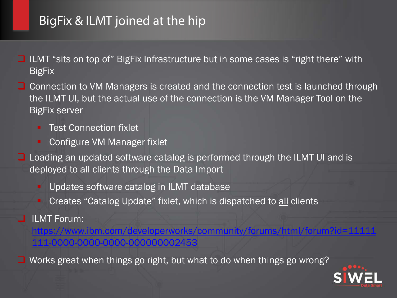# BigFix & ILMT joined at the hip

- $\Box$  ILMT "sits on top of" BigFix Infrastructure but in some cases is "right there" with **BigFix**
- $\Box$  Connection to VM Managers is created and the connection test is launched through the ILMT UI, but the actual use of the connection is the VM Manager Tool on the BigFix server
	- **Test Connection fixlet**
	- Configure VM Manager fixlet
- $\Box$  Loading an updated software catalog is performed through the ILMT UI and is deployed to all clients through the Data Import
	- Updates software catalog in ILMT database
	- Creates "Catalog Update" fixlet, which is dispatched to all clients
- **ILMT** Forum:
	- [https://www.ibm.com/developerworks/community/forums/html/forum?id=11111](https://www.ibm.com/developerworks/community/forums/html/forum?id=11111111-0000-0000-0000-000000002453). [111-0000-0000-0000-000000002453](https://www.ibm.com/developerworks/community/forums/html/forum?id=11111111-0000-0000-0000-000000002453)

■ Works great when things go right, but what to do when things go wrong?

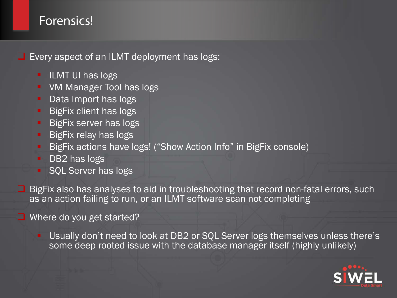## Forensics!

 $\Box$  Every aspect of an ILMT deployment has logs:

- **ILMT UI has logs**
- **VM Manager Tool has logs**
- Data Import has logs
- **BigFix client has logs**
- **BigFix server has logs**
- **BigFix relay has logs**
- BigFix actions have logs! ("Show Action Info" in BigFix console)
- DB2 has logs
- **SOL Server has logs**

 $\Box$  BigFix also has analyses to aid in troubleshooting that record non-fatal errors, such as an action failing to run, or an ILMT software scan not completing

 $\Box$  Where do you get started?

**Usually don't need to look at DB2 or SQL Server logs themselves unless there's** some deep rooted issue with the database manager itself (highly unlikely)

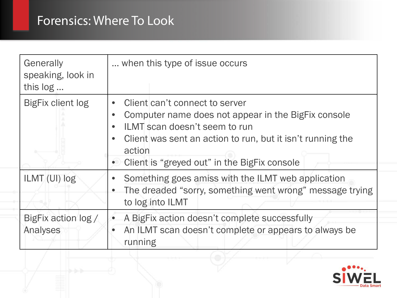| Generally<br>speaking, look in<br>this log | when this type of issue occurs.                                                                                                                                                                                                                                                                      |
|--------------------------------------------|------------------------------------------------------------------------------------------------------------------------------------------------------------------------------------------------------------------------------------------------------------------------------------------------------|
| <b>BigFix client log</b>                   | Client can't connect to server<br>$\bullet$<br>Computer name does not appear in the BigFix console<br>$\bullet$<br>ILMT scan doesn't seem to run<br>$\bullet$<br>Client was sent an action to run, but it isn't running the<br>$\bullet$<br>action<br>• Client is "greyed out" in the BigFix console |
| ILMT (UI) log                              | Something goes amiss with the ILMT web application<br>The dreaded "sorry, something went wrong" message trying<br>$\bullet$<br>to log into ILMT                                                                                                                                                      |
| BigFix action log /<br>Analyses            | A BigFix action doesn't complete successfully<br>$\bullet$<br>An ILMT scan doesn't complete or appears to always be<br>$\bullet$<br>running                                                                                                                                                          |

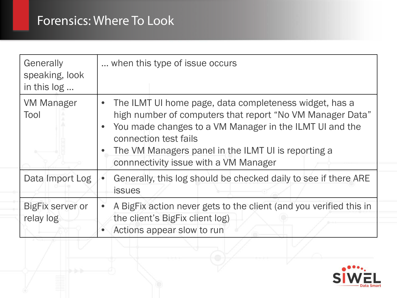| Generally<br>speaking, look<br>in this log | when this type of issue occurs.                                                                                                                                                                                                                                                                           |
|--------------------------------------------|-----------------------------------------------------------------------------------------------------------------------------------------------------------------------------------------------------------------------------------------------------------------------------------------------------------|
| <b>VM Manager</b><br>Tool                  | • The ILMT UI home page, data completeness widget, has a<br>high number of computers that report "No VM Manager Data"<br>You made changes to a VM Manager in the ILMT UI and the<br>connection test fails<br>The VM Managers panel in the ILMT UI is reporting a<br>connnectivity issue with a VM Manager |
| Data Import Log                            | Generally, this log should be checked daily to see if there ARE<br><b>issues</b>                                                                                                                                                                                                                          |
| <b>BigFix server or</b><br>relay log       | A BigFix action never gets to the client (and you verified this in<br>the client's BigFix client log)<br>Actions appear slow to run                                                                                                                                                                       |

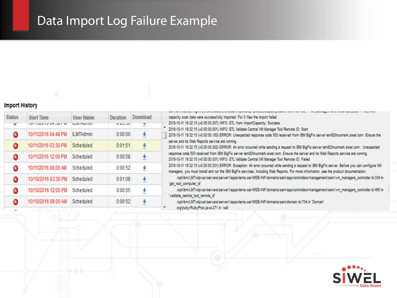# Data Import Log Failure Example

#### **Import History**

| <b>Start Time</b><br>TUITTIZU TU U4.JUT IW | <b>User Name</b><br><b>ILIVELASITIITE</b> | <b>Duration</b><br><b>U.U.J.JU</b> | Download<br>⊻ |  |
|--------------------------------------------|-------------------------------------------|------------------------------------|---------------|--|
| 10/11/2016 04:48 PM                        | <b>ILMTAdmin</b>                          | 0:00:00                            | v             |  |
| 10/11/2016 03:30 PM                        | Scheduled                                 | 0:01:51                            | ٠             |  |
| 10/11/2016 12:00 PM                        | Scheduled                                 | 0:00:58                            | ₹             |  |
| 10/11/2016 08:00 AM                        | Scheduled                                 | 0:00:52                            | ł             |  |
| 10/10/2016 03:30 PM                        | Scheduled                                 | 0:01:08                            | ۰             |  |
| 10/10/2016 12:00 PM                        | Scheduled                                 | 0:00:55                            | ۰             |  |
| 10/10/2016 08:00 AM                        | Scheduled                                 | 0:00:52                            |               |  |
|                                            |                                           |                                    |               |  |

| winterminational ing music was awarens, one winning a reaspeak of geography aware users in the paraggest mass anywhigh sector. This commitment   |
|--------------------------------------------------------------------------------------------------------------------------------------------------|
|                                                                                                                                                  |
| capacity scan data were successfully imported. For 0 files the import failed.                                                                    |
| 2016-10-11 19:32:15 (+0:00:00.007) INFO: ETL from ImportCapacity: Success                                                                        |
| 2016-10-11 19:32:15 (+0:00:00.001) INFO: ETL Validate Central VM Manager Tool Remote ID: Start                                                   |
| 2016-10-11 19:32:15 (+0:00:00.150) ERROR: Unexpected response code 503 received from IBM BigFix server iem92linuxmark.siwel.com. Ensure the      |
| server and its Web Reports service are running.                                                                                                  |
| 2016-10-11 19:32:15 (+0:00:00.002) ERROR: An error occurred while sending a request to IBM BigFix server iem92linuxmark.siwel.com : Unexpected   |
| response code 503 received from IBM BigFix server iem92linuxmark.siwel.com. Ensure the server and its Web Reports service are running.           |
| 2016-10-11 19:32:15 (+0:00:00.001) INFO: ETL Validate Central VM Manager Tool Remote ID: Failed                                                  |
| 2016-10-11 19:32:15 (+0:00:00.031) ERROR: Exception: An error occurred while sending a request to IBM BigFix server. Before you can configure VM |
| managers, you must install and run the IBM BigFix services, including Web Reports. For more information, see the product documentation.          |
| /opt/ibm/LMT/wlp/usr/servers/server1/apps/tema.war/WEB-INF/domains/sam/app/controllers/management/sam/vm_managers_controller.rb:334:in           |
| 'get_root_computer_id'                                                                                                                           |
| /opt/ibm/LMT/wlp/usr/servers/server1/apps/tema.war/WEB-INF/domains/sam/app/controllers/management/sam/vm_managers_controller.rb:465:in           |
| 'validate central tool remote id'                                                                                                                |
| /opt/ibm/LMT/wlp/usr/servers/server1/apps/tema.war/WEB-INF/domains/sam/domain.rb:704:in 'Domain'                                                 |

org/jruby/RubyProc.java:271:in 'call

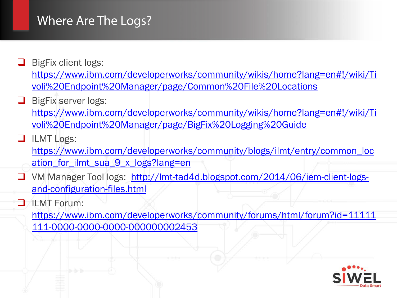## Where Are The Logs?

- $\Box$  BigFix client logs: [https://www.ibm.com/developerworks/community/wikis/home?lang=en#!/wiki/Ti](https://www.ibm.com/developerworks/community/wikis/home?lang=en#!/wiki/Tivoli%20Endpoint%20Manager/page/Common%20File%20Locations) [voli%20Endpoint%20Manager/page/Common%20File%20Locations](https://www.ibm.com/developerworks/community/wikis/home?lang=en#!/wiki/Tivoli%20Endpoint%20Manager/page/Common%20File%20Locations)
- $\Box$  BigFix server logs:

[https://www.ibm.com/developerworks/community/wikis/home?lang=en#!/wiki/Ti](https://www.ibm.com/developerworks/community/wikis/home?lang=en#!/wiki/Tivoli%20Endpoint%20Manager/page/Common%20File%20Locations) [voli%20Endpoint%20Manager/page/BigFix%20Logging%20Guide](https://www.ibm.com/developerworks/community/wikis/home?lang=en#!/wiki/Tivoli%20Endpoint%20Manager/page/Common%20File%20Locations)

**ILMT Logs:** 

[https://www.ibm.com/developerworks/community/blogs/ilmt/entry/common\\_loc](https://www.ibm.com/developerworks/community/wikis/home?lang=en#!/wiki/Tivoli%20Endpoint%20Manager/page/Common%20File%20Locations) [ation\\_for\\_ilmt\\_sua\\_9\\_x\\_logs?lang=en](https://www.ibm.com/developerworks/community/wikis/home?lang=en#!/wiki/Tivoli%20Endpoint%20Manager/page/Common%20File%20Locations)

- VM Manager Tool logs: [http://lmt-tad4d.blogspot.com/2014/06/iem-client-logs](http://lmt-tad4d.blogspot.com/2014/06/iem-client-logs-and-configuration-files.html)[and-configuration-files.html](http://lmt-tad4d.blogspot.com/2014/06/iem-client-logs-and-configuration-files.html)
- **ILMT** Forum:

[https://www.ibm.com/developerworks/community/forums/html/forum?id=11111](https://www.ibm.com/developerworks/community/forums/html/forum?id=11111111-0000-0000-0000-000000002453) [111-0000-0000-0000-000000002453](https://www.ibm.com/developerworks/community/forums/html/forum?id=11111111-0000-0000-0000-000000002453)

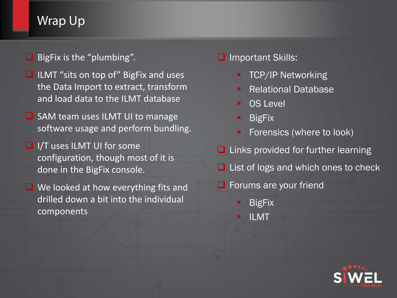# Wrap Up

**BigFix is the "plumbing".** 

- $\Box$  ILMT "sits on top of" BigFix and uses the Data Import to extract, transform and load data to the ILMT database
- SAM team uses ILMT UI to manage software usage and perform bundling.
- $\Box$  I/T uses ILMT UI for some configuration, though most of it is done in the BigFix console.
- $\Box$  We looked at how everything fits and drilled down a bit into the individual components

#### **Q** Important Skills:

- **TCP/IP Networking**
- Relational Database
- OS Level
- **BigFix**
- Forensics (where to look)
- $\Box$  Links provided for further learning
- $\Box$  List of logs and which ones to check
- **Forums are your friend** 
	- **BigFix**
	- ILMT

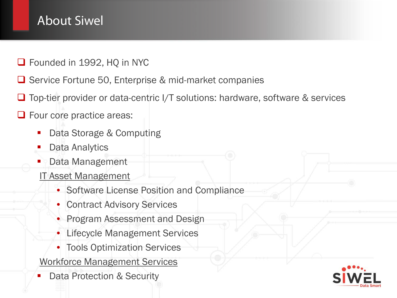# About Siwel

- Founded in 1992, HQ in NYC
- $\Box$  Service Fortune 50, Enterprise & mid-market companies
- $\Box$  Top-tier provider or data-centric I/T solutions: hardware, software & services
- **O** Four core practice areas:
	- Data Storage & Computing
	- Data Analytics
	- Data Management
	- IT Asset Management
		- Software License Position and Compliance
		- Contract Advisory Services
		- Program Assessment and Design
		- Lifecycle Management Services
		- Tools Optimization Services
	- Workforce Management Services
	- Data Protection & Security